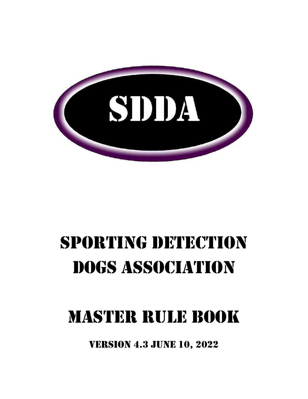

# SPORTING DETECTION Dogs Association

## MASTER RULE BOOK

Version 4.3 JUNE 10, 2022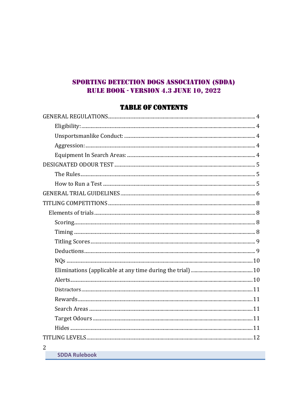## SPORTING DETECTION DOGS ASSOCIATION (SDDA) **RULE BOOK - VERSION 4.3 JUNE 10, 2022**

## **TABLE OF CONTENTS**

| $\overline{2}$       |  |
|----------------------|--|
| <b>SDDA Rulebook</b> |  |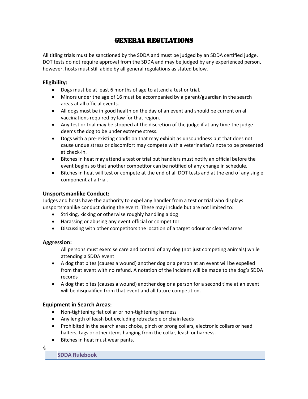## GENERAL REGULATIONS

<span id="page-3-0"></span>All titling trials must be sanctioned by the SDDA and must be judged by an SDDA certified judge. DOT tests do not require approval from the SDDA and may be judged by any experienced person, however, hosts must still abide by all general regulations as stated below.

#### <span id="page-3-1"></span>**Eligibility:**

- Dogs must be at least 6 months of age to attend a test or trial.
- Minors under the age of 16 must be accompanied by a parent/guardian in the search areas at all official events.
- All dogs must be in good health on the day of an event and should be current on all vaccinations required by law for that region.
- Any test or trial may be stopped at the discretion of the judge if at any time the judge deems the dog to be under extreme stress.
- Dogs with a pre-existing condition that may exhibit as unsoundness but that does not cause undue stress or discomfort may compete with a veterinarian's note to be presented at check-in.
- Bitches in heat may attend a test or trial but handlers must notify an official before the event begins so that another competitor can be notified of any change in schedule.
- Bitches in heat will test or compete at the end of all DOT tests and at the end of any single component at a trial.

#### <span id="page-3-2"></span>**Unsportsmanlike Conduct:**

Judges and hosts have the authority to expel any handler from a test or trial who displays unsportsmanlike conduct during the event. These may include but are not limited to:

- Striking, kicking or otherwise roughly handling a dog
- Harassing or abusing any event official or competitor
- Discussing with other competitors the location of a target odour or cleared areas

#### <span id="page-3-3"></span>**Aggression:**

All persons must exercise care and control of any dog (not just competing animals) while attending a SDDA event

- A dog that bites (causes a wound) another dog or a person at an event will be expelled from that event with no refund. A notation of the incident will be made to the dog's SDDA records
- A dog that bites (causes a wound) another dog or a person for a second time at an event will be disqualified from that event and all future competition.

#### <span id="page-3-4"></span>**Equipment in Search Areas:**

- Non-tightening flat collar or non-tightening harness
- Any length of leash but excluding retractable or chain leads
- Prohibited in the search area: choke, pinch or prong collars, electronic collars or head halters, tags or other items hanging from the collar, leash or harness.
- Bitches in heat must wear pants.

4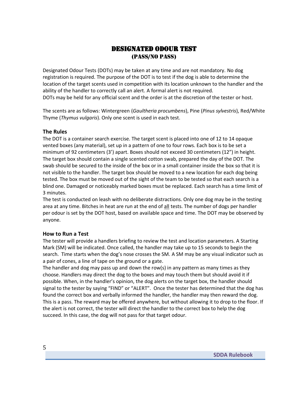## Designated Odour Test (Pass/No PASS)

<span id="page-4-0"></span>Designated Odour Tests (DOTs) may be taken at any time and are not mandatory. No dog registration is required. The purpose of the DOT is to test if the dog is able to determine the location of the target scents used in competition with its location unknown to the handler and the ability of the handler to correctly call an alert. A formal alert is not required. DOTs may be held for any official scent and the order is at the discretion of the tester or host.

The scents are as follows: Wintergreen (*Gaultheria procumbens*), Pine (*Pinus sylvestris*), Red/White Thyme (*Thymus vulgaris*). Only one scent is used in each test.

#### <span id="page-4-1"></span>**The Rules**

The DOT is a container search exercise. The target scent is placed into one of 12 to 14 opaque vented boxes (any material), set up in a pattern of one to four rows. Each box is to be set a minimum of 92 centimeters (3') apart. Boxes should not exceed 30 centimeters (12") in height. The target box should contain a single scented cotton swab, prepared the day of the DOT. The swab should be secured to the inside of the box or in a small container inside the box so that it is not visible to the handler. The target box should be moved to a new location for each dog being tested. The box must be moved out of the sight of the team to be tested so that each search is a blind one. Damaged or noticeably marked boxes must be replaced. Each search has a time limit of 3 minutes.

The test is conducted on leash with no deliberate distractions. Only one dog may be in the testing area at any time. Bitches in heat are run at the end of all tests. The number of dogs per handler per odour is set by the DOT host, based on available space and time. The DOT may be observed by anyone.

#### <span id="page-4-2"></span>**How to Run a Test**

The tester will provide a handlers briefing to review the test and location parameters. A Starting Mark (SM) will be indicated. Once called, the handler may take up to 15 seconds to begin the search. Time starts when the dog's nose crosses the SM. A SM may be any visual indicator such as a pair of cones, a line of tape on the ground or a gate.

The handler and dog may pass up and down the row(s) in any pattern as many times as they choose. Handlers may direct the dog to the boxes and may touch them but should avoid it if possible. When, in the handler's opinion, the dog alerts on the target box, the handler should signal to the tester by saying "FIND" or "ALERT". Once the tester has determined that the dog has found the correct box and verbally informed the handler, the handler may then reward the dog. This is a pass. The reward may be offered anywhere, but without allowing it to drop to the floor. If the alert is not correct, the tester will direct the handler to the correct box to help the dog succeed. In this case, the dog will not pass for that target odour.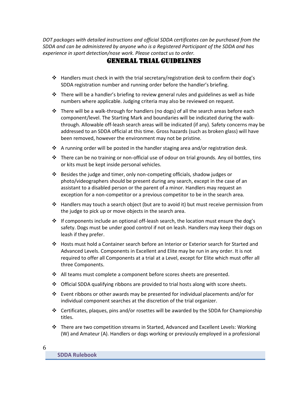<span id="page-5-0"></span>*DOT packages with detailed instructions and official SDDA certificates can be purchased from the SDDA and can be administered by anyone who is a Registered Participant of the SDDA and has experience in sport detection/nose work. Please contact us to order.* 

## GENERAL Trial Guidelines

- ❖ Handlers must check in with the trial secretary/registration desk to confirm their dog's SDDA registration number and running order before the handler's briefing.
- $\div$  There will be a handler's briefing to review general rules and guidelines as well as hide numbers where applicable. Judging criteria may also be reviewed on request.
- $\div$  There will be a walk-through for handlers (no dogs) of all the search areas before each component/level. The Starting Mark and boundaries will be indicated during the walkthrough. Allowable off-leash search areas will be indicated (if any). Safety concerns may be addressed to an SDDA official at this time. Gross hazards (such as broken glass) will have been removed, however the environment may not be pristine.
- $\div$  A running order will be posted in the handler staging area and/or registration desk.
- ❖ There can be no training or non-official use of odour on trial grounds. Any oil bottles, tins or kits must be kept inside personal vehicles.
- ❖ Besides the judge and timer, only non-competing officials, shadow judges or photo/videographers should be present during any search, except in the case of an assistant to a disabled person or the parent of a minor. Handlers may request an exception for a non-competitor or a previous competitor to be in the search area.
- ❖ Handlers may touch a search object (but are to avoid it) but must receive permission from the judge to pick up or move objects in the search area.
- ❖ If components include an optional off-leash search, the location must ensure the dog's safety. Dogs must be under good control if not on leash. Handlers may keep their dogs on leash if they prefer.
- ❖ Hosts must hold a Container search before an Interior or Exterior search for Started and Advanced Levels. Components in Excellent and Elite may be run in any order. It is not required to offer all Components at a trial at a Level, except for Elite which must offer all three Components.
- ❖ All teams must complete a component before scores sheets are presented.
- ❖ Official SDDA qualifying ribbons are provided to trial hosts along with score sheets.
- $\dots$  Event ribbons or other awards may be presented for individual placements and/or for individual component searches at the discretion of the trial organizer.
- $♦$  Certificates, plaques, pins and/or rosettes will be awarded by the SDDA for Championship titles.
- ❖ There are two competition streams in Started, Advanced and Excellent Levels: Working (W) and Amateur (A). Handlers or dogs working or previously employed in a professional

|   |    | I | ۰. |         |
|---|----|---|----|---------|
|   | ۰. | i |    |         |
| t |    |   |    |         |
| × | w  |   | ۰, | ٦<br>۰, |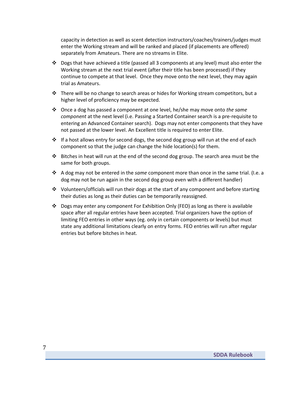capacity in detection as well as scent detection instructors/coaches/trainers/judges must enter the Working stream and will be ranked and placed (if placements are offered) separately from Amateurs. There are no streams in Elite.

- ❖ Dogs that have achieved a title (passed all 3 components at any level) must also enter the Working stream at the next trial event (after their title has been processed) if they continue to compete at that level. Once they move onto the next level, they may again trial as Amateurs.
- ◆ There will be no change to search areas or hides for Working stream competitors, but a higher level of proficiency may be expected.
- ❖ Once a dog has passed a component at one level, he/she may move onto *the same component* at the next level (i.e. Passing a Started Container search is a pre-requisite to entering an Advanced Container search). Dogs may not enter components that they have not passed at the lower level. An Excellent title is required to enter Elite.
- $\div$  If a host allows entry for second dogs, the second dog group will run at the end of each component so that the judge can change the hide location(s) for them.
- $♦$  Bitches in heat will run at the end of the second dog group. The search area must be the same for both groups.
- ❖ A dog may not be entered in the *same* component more than once in the same trial. (I.e. a dog may not be run again in the second dog group even with a different handler)
- $\div$  Volunteers/officials will run their dogs at the start of any component and before starting their duties as long as their duties can be temporarily reassigned.
- $\clubsuit$  Dogs may enter any component For Exhibition Only (FEO) as long as there is available space after all regular entries have been accepted. Trial organizers have the option of limiting FEO entries in other ways (eg. only in certain components or levels) but must state any additional limitations clearly on entry forms. FEO entries will run after regular entries but before bitches in heat.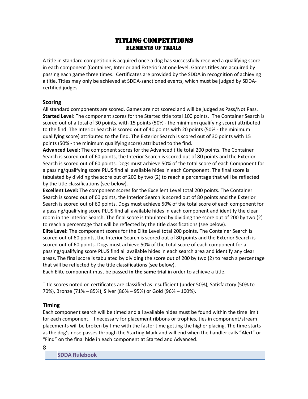## Titling Competitions Elements of trials

<span id="page-7-1"></span><span id="page-7-0"></span>A title in standard competition is acquired once a dog has successfully received a qualifying score in each component (Container, Interior and Exterior) at one level. Games titles are acquired by passing each game three times. Certificates are provided by the SDDA in recognition of achieving a title. Titles may only be achieved at SDDA-sanctioned events, which must be judged by SDDAcertified judges.

#### <span id="page-7-2"></span>**Scoring**

All standard components are scored. Games are not scored and will be judged as Pass/Not Pass. **Started Level**: The component scores for the Started title total 100 points. The Container Search is scored out of a total of 30 points, with 15 points (50% - the minimum qualifying score) attributed to the find. The Interior Search is scored out of 40 points with 20 points (50% - the minimum qualifying score) attributed to the find. The Exterior Search is scored out of 30 points with 15 points (50% - the minimum qualifying score) attributed to the find.

**Advanced Level:** The component scores for the Advanced title total 200 points. The Container Search is scored out of 60 points, the Interior Search is scored out of 80 points and the Exterior Search is scored out of 60 points. Dogs must achieve 50% of the total score of each Component for a passing/qualifying score PLUS find all available hides in each Component. The final score is tabulated by dividing the score out of 200 by two (2) to reach a percentage that will be reflected by the title classifications (see below).

**Excellent Level:** The component scores for the Excellent Level total 200 points. The Container Search is scored out of 60 points, the Interior Search is scored out of 80 points and the Exterior Search is scored out of 60 points. Dogs must achieve 50% of the total score of each component for a passing/qualifying score PLUS find all available hides in each component and identify the clear room in the Interior Search. The final score is tabulated by dividing the score out of 200 by two (2) to reach a percentage that will be reflected by the title classifications (see below).

**Elite Level:** The component scores for the Elite Level total 200 points. The Container Search is scored out of 60 points, the Interior Search is scored out of 80 points and the Exterior Search is scored out of 60 points. Dogs must achieve 50% of the total score of each component for a passing/qualifying score PLUS find all available hides in each search area and identify any clear areas. The final score is tabulated by dividing the score out of 200 by two (2) to reach a percentage that will be reflected by the title classifications (see below).

Each Elite component must be passed **in the same trial** in order to achieve a title.

Title scores noted on certificates are classified as Insufficient (under 50%), Satisfactory (50% to 70%), Bronze (71% – 85%), Silver (86% – 95%) or Gold (96% – 100%).

#### <span id="page-7-3"></span>**Timing**

Each component search will be timed and all available hides must be found within the time limit for each component. If necessary for placement ribbons or trophies, ties in component/stream placements will be broken by time with the faster time getting the higher placing. The time starts as the dog's nose passes through the Starting Mark and will end when the handler calls "Alert" or "Find" on the final hide in each component at Started and Advanced.

8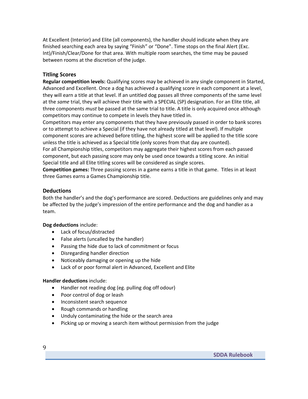At Excellent (Interior) and Elite (all components), the handler should indicate when they are finished searching each area by saying "Finish" or "Done". Time stops on the final Alert (Exc. Int)/Finish/Clear/Done for that area. With multiple room searches, the time may be paused between rooms at the discretion of the judge.

#### <span id="page-8-0"></span>**Titling Scores**

**Regular competition levels:** Qualifying scores may be achieved in any single component in Started, Advanced and Excellent. Once a dog has achieved a qualifying score in each component at a level, they will earn a title at that level. If an untitled dog passes all three components of the same level at the *same* trial, they will achieve their title with a SPECIAL (SP) designation. For an Elite title, all three components *must* be passed at the same trial to title. A title is only acquired once although competitors may continue to compete in levels they have titled in.

Competitors may enter any components that they have previously passed in order to bank scores or to attempt to achieve a Special (if they have not already titled at that level). If multiple component scores are achieved before titling, the highest score will be applied to the title score unless the title is achieved as a Special title (only scores from that day are counted).

For all Championship titles, competitors may aggregate their highest scores from each passed component, but each passing score may only be used once towards a titling score. An initial Special title and all Elite titling scores will be considered as single scores.

**Competition games:** Three passing scores in a game earns a title in that game. Titles in at least three Games earns a Games Championship title.

#### <span id="page-8-1"></span>**Deductions**

Both the handler's and the dog's performance are scored. Deductions are guidelines only and may be affected by the judge's impression of the entire performance and the dog and handler as a team.

**Dog deductions** include:

- Lack of focus/distracted
- False alerts (uncalled by the handler)
- Passing the hide due to lack of commitment or focus
- Disregarding handler direction
- Noticeably damaging or opening up the hide
- Lack of or poor formal alert in Advanced, Excellent and Elite

#### **Handler deductions** include:

- Handler not reading dog (eg. pulling dog off odour)
- Poor control of dog or leash
- Inconsistent search sequence
- Rough commands or handling
- Unduly contaminating the hide or the search area
- <span id="page-8-2"></span>• Picking up or moving a search item without permission from the judge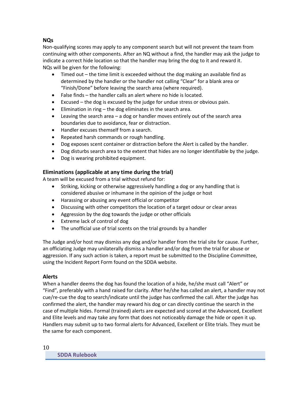#### **NQs**

Non-qualifying scores may apply to any component search but will not prevent the team from continuing with other components. After an NQ without a find, the handler may ask the judge to indicate a correct hide location so that the handler may bring the dog to it and reward it. NQs will be given for the following:

- Timed out the time limit is exceeded without the dog making an available find as determined by the handler or the handler not calling "Clear" for a blank area or "Finish/Done" before leaving the search area (where required).
- False finds the handler calls an alert where no hide is located.
- Excused the dog is excused by the judge for undue stress or obvious pain.
- Elimination in ring the dog eliminates in the search area.
- Leaving the search area a dog or handler moves entirely out of the search area boundaries due to avoidance, fear or distraction.
- Handler excuses themself from a search.
- Repeated harsh commands or rough handling.
- Dog exposes scent container or distraction before the Alert is called by the handler.
- Dog disturbs search area to the extent that hides are no longer identifiable by the judge.
- Dog is wearing prohibited equipment.

#### <span id="page-9-0"></span>**Eliminations (applicable at any time during the trial)**

A team will be excused from a trial without refund for:

- Striking, kicking or otherwise aggressively handling a dog or any handling that is considered abusive or inhumane in the opinion of the judge or host
- Harassing or abusing any event official or competitor
- Discussing with other competitors the location of a target odour or clear areas
- Aggression by the dog towards the judge or other officials
- Extreme lack of control of dog
- The unofficial use of trial scents on the trial grounds by a handler

The Judge and/or host may dismiss any dog and/or handler from the trial site for cause. Further, an officiating Judge may unilaterally dismiss a handler and/or dog from the trial for abuse or aggression. If any such action is taken, a report must be submitted to the Discipline Committee, using the Incident Report Form found on the SDDA website.

#### <span id="page-9-1"></span>**Alerts**

When a handler deems the dog has found the location of a hide, he/she must call "Alert" or "Find", preferably with a hand raised for clarity. After he/she has called an alert, a handler may not cue/re-cue the dog to search/indicate until the judge has confirmed the call. After the judge has confirmed the alert, the handler may reward his dog or can directly continue the search in the case of multiple hides. Formal (trained) alerts are expected and scored at the Advanced, Excellent and Elite levels and may take any form that does not noticeably damage the hide or open it up. Handlers may submit up to two formal alerts for Advanced, Excellent or Elite trials. They must be the same for each component.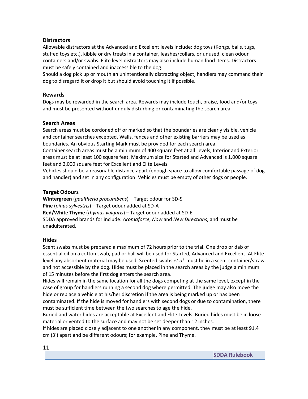#### <span id="page-10-0"></span>**Distractors**

Allowable distractors at the Advanced and Excellent levels include: dog toys (Kongs, balls, tugs, stuffed toys etc.), kibble or dry treats in a container, leashes/collars, or unused, clean odour containers and/or swabs. Elite level distractors may also include human food items. Distractors must be safely contained and inaccessible to the dog.

Should a dog pick up or mouth an unintentionally distracting object, handlers may command their dog to disregard it or drop it but should avoid touching it if possible.

#### <span id="page-10-1"></span>**Rewards**

Dogs may be rewarded in the search area. Rewards may include touch, praise, food and/or toys and must be presented without unduly disturbing or contaminating the search area.

#### <span id="page-10-2"></span>**Search Areas**

Search areas must be cordoned off or marked so that the boundaries are clearly visible, vehicle and container searches excepted. Walls, fences and other existing barriers may be used as boundaries. An obvious Starting Mark must be provided for each search area.

Container search areas must be a minimum of 400 square feet at all Levels; Interior and Exterior areas must be at least 100 square feet. Maximum size for Started and Advanced is 1,000 square feet and 2,000 square feet for Excellent and Elite Levels.

Vehicles should be a reasonable distance apart (enough space to allow comfortable passage of dog and handler) and set in any configuration. Vehicles must be empty of other dogs or people.

#### <span id="page-10-3"></span>**Target Odours**

**Wintergreen** (*gaultheria procumbens*) – Target odour for SD-S **Pine** (*pinus sylvestris*) – Target odour added at SD-A **Red/White Thyme** (*thymus vulgaris*) – Target odour added at SD-E SDDA approved brands for include: *Aromaforce*, *Now* and *New Directions*, and must be unadulterated.

#### <span id="page-10-4"></span>**Hides**

Scent swabs must be prepared a maximum of 72 hours prior to the trial. One drop or dab of essential oil on a cotton swab, pad or ball will be used for Started, Advanced and Excellent. At Elite level any absorbent material may be used. Scented swabs *et al.* must be in a scent container/straw and not accessible by the dog. Hides must be placed in the search areas by the judge a minimum of 15 minutes before the first dog enters the search area.

Hides will remain in the same location for all the dogs competing at the same level, except in the case of group for handlers running a second dog where permitted. The judge may also move the hide or replace a vehicle at his/her discretion if the area is being marked up or has been

contaminated. If the hide is moved for handlers with second dogs or due to contamination, there must be sufficient time between the two searches to age the hide.

Buried and water hides are acceptable at Excellent and Elite Levels. Buried hides must be in loose material or vented to the surface and may not be set deeper than 12 inches.

If hides are placed closely adjacent to one another in any component, they must be at least 91.4 cm (3') apart and be different odours; for example, Pine and Thyme.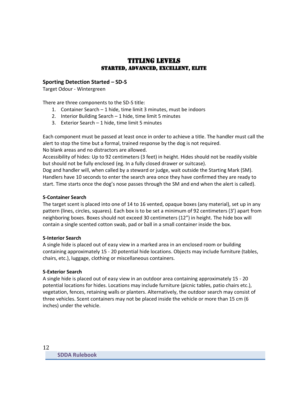## Titling levels Started, Advanced, Excellent, Elite

#### <span id="page-11-2"></span><span id="page-11-1"></span><span id="page-11-0"></span>**Sporting Detection Started – SD-S**

Target Odour - Wintergreen

There are three components to the SD-S title:

- 1. Container Search 1 hide, time limit 3 minutes, must be indoors
- 2. Interior Building Search 1 hide, time limit 5 minutes
- 3. Exterior Search 1 hide, time limit 5 minutes

Each component must be passed at least once in order to achieve a title. The handler must call the alert to stop the time but a formal, trained response by the dog is not required. No blank areas and no distractors are allowed.

Accessibility of hides: Up to 92 centimeters (3 feet) in height. Hides should not be readily visible but should not be fully enclosed (eg. In a fully closed drawer or suitcase).

Dog and handler will, when called by a steward or judge, wait outside the Starting Mark (SM). Handlers have 10 seconds to enter the search area once they have confirmed they are ready to start. Time starts once the dog's nose passes through the SM and end when the alert is called).

#### **S-Container Search**

The target scent is placed into one of 14 to 16 vented, opaque boxes (any material), set up in any pattern (lines, circles, squares). Each box is to be set a minimum of 92 centimeters (3') apart from neighboring boxes. Boxes should not exceed 30 centimeters (12") in height. The hide box will contain a single scented cotton swab, pad or ball in a small container inside the box.

#### **S-Interior Search**

A single hide is placed out of easy view in a marked area in an enclosed room or building containing approximately 15 - 20 potential hide locations. Objects may include furniture (tables, chairs, etc.), luggage, clothing or miscellaneous containers.

#### **S-Exterior Search**

<span id="page-11-3"></span>A single hide is placed out of easy view in an outdoor area containing approximately 15 - 20 potential locations for hides. Locations may include furniture (picnic tables, patio chairs etc.), vegetation, fences, retaining walls or planters. Alternatively, the outdoor search may consist of three vehicles. Scent containers may not be placed inside the vehicle or more than 15 cm (6 inches) under the vehicle.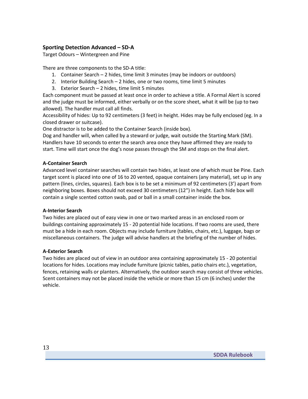#### **Sporting Detection Advanced – SD-A**

Target Odours – Wintergreen and Pine

There are three components to the SD-A title:

- 1. Container Search 2 hides, time limit 3 minutes (may be indoors or outdoors)
- 2. Interior Building Search 2 hides, one or two rooms, time limit 5 minutes
- 3. Exterior Search 2 hides, time limit 5 minutes

Each component must be passed at least once in order to achieve a title. A Formal Alert is scored and the judge must be informed, either verbally or on the score sheet, what it will be (up to two allowed). The handler must call all finds.

Accessibility of hides: Up to 92 centimeters (3 feet) in height. Hides may be fully enclosed (eg. In a closed drawer or suitcase).

One distractor is to be added to the Container Search (inside box).

Dog and handler will, when called by a steward or judge, wait outside the Starting Mark (SM). Handlers have 10 seconds to enter the search area once they have affirmed they are ready to start. Time will start once the dog's nose passes through the SM and stops on the final alert.

#### **A-Container Search**

Advanced level container searches will contain two hides, at least one of which must be Pine. Each target scent is placed into one of 16 to 20 vented, opaque containers (any material), set up in any pattern (lines, circles, squares). Each box is to be set a minimum of 92 centimeters (3') apart from neighboring boxes. Boxes should not exceed 30 centimeters (12") in height. Each hide box will contain a single scented cotton swab, pad or ball in a small container inside the box.

#### **A-Interior Search**

Two hides are placed out of easy view in one or two marked areas in an enclosed room or buildings containing approximately 15 - 20 potential hide locations. If two rooms are used, there must be a hide in each room. Objects may include furniture (tables, chairs, etc.), luggage, bags or miscellaneous containers. The judge will advise handlers at the briefing of the number of hides.

#### **A-Exterior Search**

<span id="page-12-0"></span>Two hides are placed out of view in an outdoor area containing approximately 15 - 20 potential locations for hides. Locations may include furniture (picnic tables, patio chairs etc.), vegetation, fences, retaining walls or planters. Alternatively, the outdoor search may consist of three vehicles. Scent containers may not be placed inside the vehicle or more than 15 cm (6 inches) under the vehicle.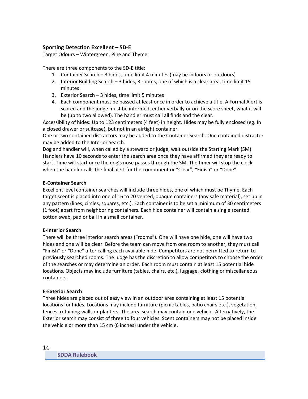#### **Sporting Detection Excellent – SD-E**

Target Odours – Wintergreen, Pine and Thyme

There are three components to the SD-E title:

- 1. Container Search 3 hides, time limit 4 minutes (may be indoors or outdoors)
- 2. Interior Building Search 3 hides, 3 rooms, one of which is a clear area, time limit 15 minutes
- 3. Exterior Search 3 hides, time limit 5 minutes
- 4. Each component must be passed at least once in order to achieve a title. A Formal Alert is scored and the judge must be informed, either verbally or on the score sheet, what it will be (up to two allowed). The handler must call all finds and the clear.

Accessibility of hides: Up to 123 centimeters (4 feet) in height. Hides may be fully enclosed (eg. In a closed drawer or suitcase), but not in an airtight container.

One or two contained distractors may be added to the Container Search. One contained distractor may be added to the Interior Search.

Dog and handler will, when called by a steward or judge, wait outside the Starting Mark (SM). Handlers have 10 seconds to enter the search area once they have affirmed they are ready to start. Time will start once the dog's nose passes through the SM. The timer will stop the clock when the handler calls the final alert for the component or "Clear", "Finish" or "Done".

#### **E-Container Search**

Excellent level container searches will include three hides, one of which must be Thyme. Each target scent is placed into one of 16 to 20 vented, opaque containers (any safe material), set up in any pattern (lines, circles, squares, etc.). Each container is to be set a minimum of 30 centimeters (1 foot) apart from neighboring containers. Each hide container will contain a single scented cotton swab, pad or ball in a small container.

#### **E-Interior Search**

There will be three interior search areas ("rooms"). One will have one hide, one will have two hides and one will be clear. Before the team can move from one room to another, they must call "Finish" or "Done" after calling each available hide. Competitors are not permitted to return to previously searched rooms. The judge has the discretion to allow competitors to choose the order of the searches or may determine an order. Each room must contain at least 15 potential hide locations. Objects may include furniture (tables, chairs, etc.), luggage, clothing or miscellaneous containers.

#### **E-Exterior Search**

<span id="page-13-0"></span>Three hides are placed out of easy view in an outdoor area containing at least 15 potential locations for hides. Locations may include furniture (picnic tables, patio chairs etc.), vegetation, fences, retaining walls or planters. The area search may contain one vehicle. Alternatively, the Exterior search may consist of three to four vehicles. Scent containers may not be placed inside the vehicle or more than 15 cm (6 inches) under the vehicle.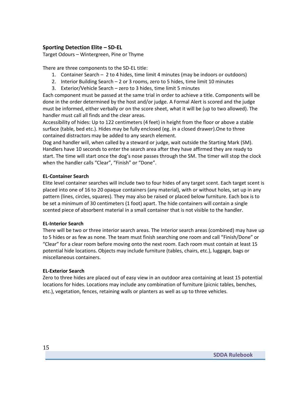#### **Sporting Detection Elite – SD-EL**

Target Odours – Wintergreen, Pine or Thyme

There are three components to the SD-EL title:

- 1. Container Search 2 to 4 hides, time limit 4 minutes (may be indoors or outdoors)
- 2. Interior Building Search 2 or 3 rooms, zero to 5 hides, time limit 10 minutes
- 3. Exterior/Vehicle Search zero to 3 hides, time limit 5 minutes

Each component must be passed at the same trial in order to achieve a title. Components will be done in the order determined by the host and/or judge. A Formal Alert is scored and the judge must be informed, either verbally or on the score sheet, what it will be (up to two allowed). The handler must call all finds and the clear areas.

Accessibility of hides: Up to 122 centimeters (4 feet) in height from the floor or above a stable surface (table, bed etc.). Hides may be fully enclosed (eg. in a closed drawer).One to three contained distractors may be added to any search element.

Dog and handler will, when called by a steward or judge, wait outside the Starting Mark (SM). Handlers have 10 seconds to enter the search area after they have affirmed they are ready to start. The time will start once the dog's nose passes through the SM. The timer will stop the clock when the handler calls "Clear", "Finish" or "Done".

#### **EL-Container Search**

Elite level container searches will include two to four hides of any target scent. Each target scent is placed into one of 16 to 20 opaque containers (any material), with or without holes, set up in any pattern (lines, circles, squares). They may also be raised or placed below furniture. Each box is to be set a minimum of 30 centimeters (1 foot) apart. The hide containers will contain a single scented piece of absorbent material in a small container that is not visible to the handler.

#### **EL-Interior Search**

There will be two or three interior search areas. The Interior search areas (combined) may have up to 5 hides or as few as none. The team must finish searching one room and call "Finish/Done" or "Clear" for a clear room before moving onto the next room. Each room must contain at least 15 potential hide locations. Objects may include furniture (tables, chairs, etc.), luggage, bags or miscellaneous containers.

#### **EL-Exterior Search**

<span id="page-14-0"></span>Zero to three hides are placed out of easy view in an outdoor area containing at least 15 potential locations for hides. Locations may include any combination of furniture (picnic tables, benches, etc.), vegetation, fences, retaining walls or planters as well as up to three vehicles.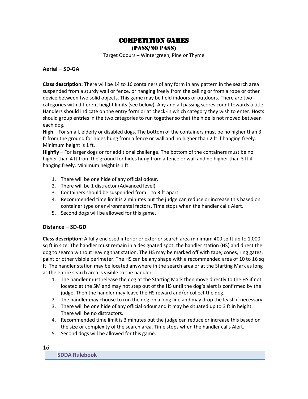## Competition games

(Pass/No PASS)

Target Odours – Wintergreen, Pine or Thyme

#### <span id="page-15-0"></span>**Aerial – SD-GA**

**Class description:** There will be 14 to 16 containers of any form in any pattern in the search area suspended from a sturdy wall or fence, or hanging freely from the ceiling or from a rope or other device between two solid objects. This game may be held indoors or outdoors. There are two categories with different height limits (see below). Any and all passing scores count towards a title. Handlers should indicate on the entry form or at check-in which category they wish to enter. Hosts should group entries in the two categories to run together so that the hide is not moved between each dog.

**High** – For small, elderly or disabled dogs. The bottom of the containers must be no higher than 3 ft from the ground for hides hung from a fence or wall and no higher than 2 ft if hanging freely. Minimum height is 1 ft.

**Highfly** – For larger dogs or for additional challenge. The bottom of the containers must be no higher than 4 ft from the ground for hides hung from a fence or wall and no higher than 3 ft if hanging freely. Minimum height is 1 ft.

- 1. There will be one hide of any official odour.
- 2. There will be 1 distractor (Advanced level).
- 3. Containers should be suspended from 1 to 3 ft apart.
- 4. Recommended time limit is 2 minutes but the judge can reduce or increase this based on container type or environmental factors. Time stops when the handler calls Alert.
- 5. Second dogs will be allowed for this game.

#### **Distance – SD-GD**

**Class description:** A fully enclosed interior or exterior search area minimum 400 sq ft up to 1,000 sq ft in size. The handler must remain in a designated spot, the handler station (HS) and direct the dog to search without leaving that station. The HS may be marked off with tape, cones, ring gates, paint or other visible perimeter. The HS can be any shape with a recommended area of 10 to 16 sq ft. The handler station may be located anywhere in the search area or at the Starting Mark as long as the entire search area is visible to the handler.

- 1. The handler must release the dog at the Starting Mark then move directly to the HS if not located at the SM and may not step out of the HS until the dog's alert is confirmed by the judge. Then the handler may leave the HS reward and/or collect the dog.
- 2. The handler may choose to run the dog on a long line and may drop the leash if necessary.
- 3. There will be one hide of any official odour and it may be situated up to 3 ft in height. There will be no distractors.
- 4. Recommended time limit is 3 minutes but the judge can reduce or increase this based on the size or complexity of the search area. Time stops when the handler calls Alert.
- 5. Second dogs will be allowed for this game.

16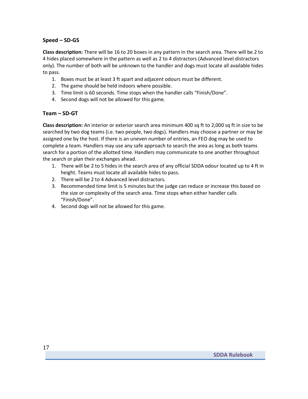#### <span id="page-16-1"></span>**Speed – SD-GS**

**Class description:** There will be 16 to 20 boxes in any pattern in the search area. There will be 2 to 4 hides placed somewhere in the pattern as well as 2 to 4 distractors (Advanced level distractors only). The number of both will be unknown to the handler and dogs must locate all available hides to pass.

- 1. Boxes must be at least 3 ft apart and adjacent odours must be different.
- 2. The game should be held indoors where possible.
- 3. Time limit is 60 seconds. Time stops when the handler calls "Finish/Done".
- 4. Second dogs will not be allowed for this game.

#### <span id="page-16-2"></span>**Team – SD-GT**

**Class description:** An interior or exterior search area minimum 400 sq ft to 2,000 sq ft in size to be searched by two dog teams (i.e. two people, two dogs). Handlers may choose a partner or may be assigned one by the host. If there is an uneven number of entries, an FEO dog may be used to complete a team. Handlers may use any safe approach to search the area as long as both teams search for a portion of the allotted time. Handlers may communicate to one another throughout the search or plan their exchanges ahead.

- 1. There will be 2 to 5 hides in the search area of any official SDDA odour located up to 4 ft in height. Teams must locate all available hides to pass.
- 2. There will be 2 to 4 Advanced level distractors.
- 3. Recommended time limit is 5 minutes but the judge can reduce or increase this based on the size or complexity of the search area. Time stops when either handler calls "Finish/Done".
- <span id="page-16-0"></span>4. Second dogs will not be allowed for this game.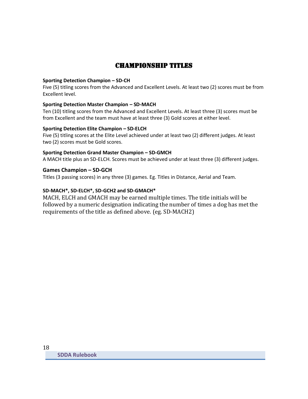## CHAMPIONSHIP Titles

#### **Sporting Detection Champion – SD-CH**

Five (5) titling scores from the Advanced and Excellent Levels. At least two (2) scores must be from Excellent level.

#### **Sporting Detection Master Champion – SD-MACH**

Ten (10) titling scores from the Advanced and Excellent Levels. At least three (3) scores must be from Excellent and the team must have at least three (3) Gold scores at either level.

#### **Sporting Detection Elite Champion – SD-ELCH**

Five (5) titling scores at the Elite Level achieved under at least two (2) different judges. At least two (2) scores must be Gold scores.

#### **Sporting Detection Grand Master Champion – SD-GMCH**

A MACH title plus an SD-ELCH. Scores must be achieved under at least three (3) different judges.

#### **Games Champion – SD-GCH**

Titles (3 passing scores) in any three (3) games. Eg. Titles in Distance, Aerial and Team.

#### **SD-MACH\*, SD-ELCH\*, SD-GCH2 and SD-GMACH\***

MACH, ELCH and GMACH may be earned multiple times. The title initials will be followed by a numeric designation indicating the number of times a dog has met the requirements of the title as defined above. (eg. SD-MACH2)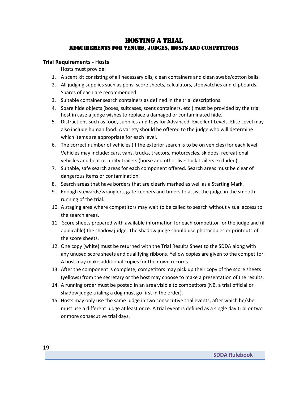## Hosting a Trial Requirements for venues, judges, hosts and competitors

#### <span id="page-18-2"></span><span id="page-18-1"></span><span id="page-18-0"></span>**Trial Requirements - Hosts**

Hosts must provide:

- 1. A scent kit consisting of all necessary oils, clean containers and clean swabs/cotton balls.
- 2. All judging supplies such as pens, score sheets, calculators, stopwatches and clipboards. Spares of each are recommended.
- 3. Suitable container search containers as defined in the trial descriptions.
- 4. Spare hide objects (boxes, suitcases, scent containers, etc.) must be provided by the trial host in case a judge wishes to replace a damaged or contaminated hide.
- 5. Distractions such as food, supplies and toys for Advanced, Excellent Levels. Elite Level may also include human food. A variety should be offered to the judge who will determine which items are appropriate for each level.
- 6. The correct number of vehicles (if the exterior search is to be on vehicles) for each level. Vehicles may include: cars, vans, trucks, tractors, motorcycles, skidoos, recreational vehicles and boat or utility trailers (horse and other livestock trailers excluded).
- 7. Suitable, safe search areas for each component offered. Search areas must be clear of dangerous items or contamination.
- 8. Search areas that have borders that are clearly marked as well as a Starting Mark.
- 9. Enough stewards/wranglers, gate keepers and timers to assist the judge in the smooth running of the trial.
- 10. A staging area where competitors may wait to be called to search without visual access to the search areas.
- 11. Score sheets prepared with available information for each competitor for the judge and (if applicable) the shadow judge. The shadow judge should use photocopies or printouts of the score sheets.
- 12. One copy (white) must be returned with the Trial Results Sheet to the SDDA along with any unused score sheets and qualifying ribbons. Yellow copies are given to the competitor. A host may make additional copies for their own records.
- 13. After the component is complete, competitors may pick up their copy of the score sheets (yellows) from the secretary or the host may choose to make a presentation of the results.
- 14. A running order must be posted in an area visible to competitors (NB. a trial official or shadow judge trialing a dog must go first in the order).
- <span id="page-18-3"></span>15. Hosts may only use the same judge in two consecutive trial events, after which he/she must use a different judge at least once. A trial event is defined as a single day trial or two or more consecutive trial days.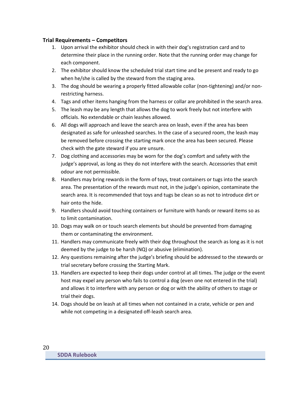#### **Trial Requirements – Competitors**

- 1. Upon arrival the exhibitor should check in with their dog's registration card and to determine their place in the running order. Note that the running order may change for each component.
- 2. The exhibitor should know the scheduled trial start time and be present and ready to go when he/she is called by the steward from the staging area.
- 3. The dog should be wearing a properly fitted allowable collar (non-tightening) and/or nonrestricting harness.
- 4. Tags and other items hanging from the harness or collar are prohibited in the search area.
- 5. The leash may be any length that allows the dog to work freely but not interfere with officials. No extendable or chain leashes allowed.
- 6. All dogs will approach and leave the search area on leash, even if the area has been designated as safe for unleashed searches. In the case of a secured room, the leash may be removed before crossing the starting mark once the area has been secured. Please check with the gate steward if you are unsure.
- 7. Dog clothing and accessories may be worn for the dog's comfort and safety with the judge's approval, as long as they do not interfere with the search. Accessories that emit odour are not permissible.
- 8. Handlers may bring rewards in the form of toys, treat containers or tugs into the search area. The presentation of the rewards must not, in the judge's opinion, contaminate the search area. It is recommended that toys and tugs be clean so as not to introduce dirt or hair onto the hide.
- 9. Handlers should avoid touching containers or furniture with hands or reward items so as to limit contamination.
- 10. Dogs may walk on or touch search elements but should be prevented from damaging them or contaminating the environment.
- 11. Handlers may communicate freely with their dog throughout the search as long as it is not deemed by the judge to be harsh (NQ) or abusive (elimination).
- 12. Any questions remaining after the judge's briefing should be addressed to the stewards or trial secretary before crossing the Starting Mark.
- 13. Handlers are expected to keep their dogs under control at all times. The judge or the event host may expel any person who fails to control a dog (even one not entered in the trial) and allows it to interfere with any person or dog or with the ability of others to stage or trial their dogs.
- <span id="page-19-0"></span>14. Dogs should be on leash at all times when not contained in a crate, vehicle or pen and while not competing in a designated off-leash search area.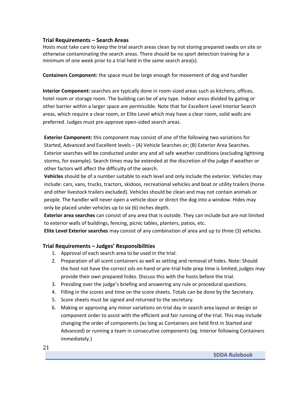#### **Trial Requirements – Search Areas**

Hosts must take care to keep the trial search areas clean by not storing prepared swabs on site or otherwise contaminating the search areas. There should be no sport detection training for a minimum of one week prior to a trial held in the same search area(s).

**Containers Component:** the space must be large enough for movement of dog and handler

**Interior Component:** searches are typically done in room-sized areas such as kitchens, offices, hotel room or storage room. The building can be of any type. Indoor areas divided by gating or other barrier within a larger space are permissible. Note that for Excellent Level Interior Search areas, which require a clear room, or Elite Level which may have a clear room, solid walls are preferred. Judges must pre-approve open-sided search areas.

**Exterior Component:** this component may consist of one of the following two variations for Started, Advanced and Excellent levels – (A) Vehicle Searches or; (B) Exterior Area Searches. Exterior searches will be conducted under any and all safe weather conditions (excluding lightning storms, for example). Search times may be extended at the discretion of the judge if weather or other factors will affect the difficulty of the search.

**Vehicles** should be of a number suitable to each level and only include the exterior. Vehicles may include: cars, vans, trucks, tractors, skidoos, recreational vehicles and boat or utility trailers (horse and other livestock trailers excluded). Vehicles should be clean and may not contain animals or people. The handler will never open a vehicle door or direct the dog into a window. Hides may only be placed under vehicles up to six (6) inches depth.

**Exterior area searches** can consist of any area that is outside. They can include but are not limited to exterior walls of buildings, fencing, picnic tables, planters, patios, etc.

**Elite Level Exterior searches** may consist of any combination of area and up to three (3) vehicles.

#### <span id="page-20-0"></span>**Trial Requirements – Judges' Responsibilities**

- 1. Approval of each search area to be used in the trial.
- 2. Preparation of all scent containers as well as setting and removal of hides. Note: Should the host not have the correct oils on hand or pre-trial hide prep time is limited, judges may provide their own prepared hides. Discuss this with the hosts before the trial.
- 3. Presiding over the judge's briefing and answering any rule or procedural questions.
- 4. Filling in the scores and time on the score sheets. Totals can be done by the Secretary.
- 5. Score sheets must be signed and returned to the secretary.
- 6. Making or approving any minor variations on trial day in search area layout or design or component order to assist with the efficient and fair running of the trial. This may include changing the order of components (as long as Containers are held first in Started and Advanced) or running a team in consecutive components (eg. Interior following Containers immediately.)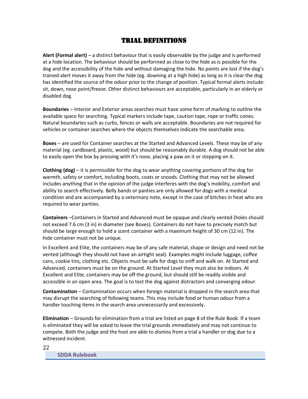## trial Definitions

<span id="page-21-0"></span>**Alert (Formal alert)** – a distinct behaviour that is easily observable by the judge and is performed at a hide location. The behaviour should be performed as close to the hide as is possible for the dog and the accessibility of the hide and without damaging the hide. No points are lost if the dog's trained alert moves it away from the hide (eg. downing at a high hide) as long as it is clear the dog has identified the source of the odour prior to the change of position. Typical formal alerts include: sit, down, nose point/freeze. Other distinct behaviours are acceptable, particularly in an elderly or disabled dog.

**Boundaries** – Interior and Exterior areas searches must have some form of marking to outline the available space for searching. Typical markers include tape, caution tape, rope or traffic cones. Natural boundaries such as curbs, fences or walls are acceptable. Boundaries are not required for vehicles or container searches where the objects themselves indicate the searchable area.

**Boxes** – are used for Container searches at the Started and Advanced Levels. These may be of any material (eg. cardboard, plastic, wood) but should be reasonably durable. A dog should not be able to easily open the box by pressing with it's nose, placing a paw on it or stepping on it.

**Clothing (dog)** – it is permissible for the dog to wear anything covering portions of the dog for warmth, safety or comfort, including boots, coats or snoods. Clothing that may not be allowed includes anything that in the opinion of the judge interferes with the dog's mobility, comfort and ability to search effectively. Belly bands or panties are only allowed for dogs with a medical condition and are accompanied by a veterinary note, except in the case of bitches in heat who are required to wear panties.

**Containers** –Containers in Started and Advanced must be opaque and clearly vented (holes should not exceed 7.6 cm (3 in) in diameter (see Boxes). Containers do not have to precisely match but should be large enough to hold a scent container with a maximum height of 30 cm (12 in). The hide container must not be unique.

In Excellent and Elite, the containers may be of any safe material, shape or design and need not be vented (although they should not have an airtight seal). Examples might include luggage, coffee cans, cookie tins, clothing etc. Objects must be safe for dogs to sniff and walk on. At Started and Advanced, containers must be on the ground. At Started Level they must also be indoors. At Excellent and Elite, containers may be off the ground, but should still be readily visible and accessible in an open area. The goal is to test the dog against distractors and converging odour.

**Contamination** – Contamination occurs when foreign material is dropped in the search area that may disrupt the searching of following teams. This may include food or human odour from a handler touching items in the search area unnecessarily and excessively.

**Elimination** – Grounds for elimination from a trial are listed on page 8 of the Rule Book. If a team is eliminated they will be asked to leave the trial grounds immediately and may not continue to compete. Both the judge and the host are able to dismiss from a trial a handler or dog due to a witnessed incident.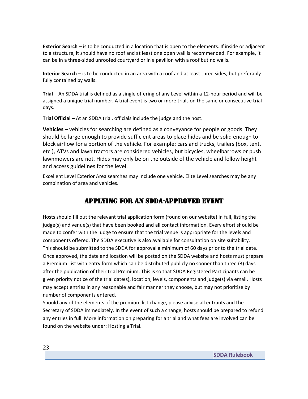**Exterior Search** – is to be conducted in a location that is open to the elements. If inside or adjacent to a structure, it should have no roof and at least one open wall is recommended. For example, it can be in a three-sided unroofed courtyard or in a pavilion with a roof but no walls.

**Interior Search** – is to be conducted in an area with a roof and at least three sides, but preferably fully contained by walls.

**Trial** – An SDDA trial is defined as a single offering of any Level within a 12-hour period and will be assigned a unique trial number. A trial event is two or more trials on the same or consecutive trial days.

**Trial Official** – At an SDDA trial, officials include the judge and the host.

**Vehicles** – vehicles for searching are defined as a conveyance for people or goods. They should be large enough to provide sufficient areas to place hides and be solid enough to block airflow for a portion of the vehicle. For example: cars and trucks, trailers (box, tent, etc.), ATVs and lawn tractors are considered vehicles, but bicycles, wheelbarrows or push lawnmowers are not. Hides may only be on the outside of the vehicle and follow height and access guidelines for the level.

Excellent Level Exterior Area searches may include one vehicle. Elite Level searches may be any combination of area and vehicles.

## Applying for an SDDA-Approved Event

<span id="page-22-0"></span>Hosts should fill out the relevant trial application form (found on our website) in full, listing the judge(s) and venue(s) that have been booked and all contact information. Every effort should be made to confer with the judge to ensure that the trial venue is appropriate for the levels and components offered. The SDDA executive is also available for consultation on site suitability. This should be submitted to the SDDA for approval a minimum of 60 days prior to the trial date. Once approved, the date and location will be posted on the SDDA website and hosts must prepare a Premium List with entry form which can be distributed publicly no sooner than three (3) days after the publication of their trial Premium. This is so that SDDA Registered Participants can be given priority notice of the trial date(s), location, levels, components and judge(s) via email. Hosts may accept entries in any reasonable and fair manner they choose, but may not prioritize by number of components entered.

Should any of the elements of the premium list change, please advise all entrants and the Secretary of SDDA immediately. In the event of such a change, hosts should be prepared to refund any entries in full. More information on preparing for a trial and what fees are involved can be found on the website under: Hosting a Trial.

<span id="page-22-1"></span>23